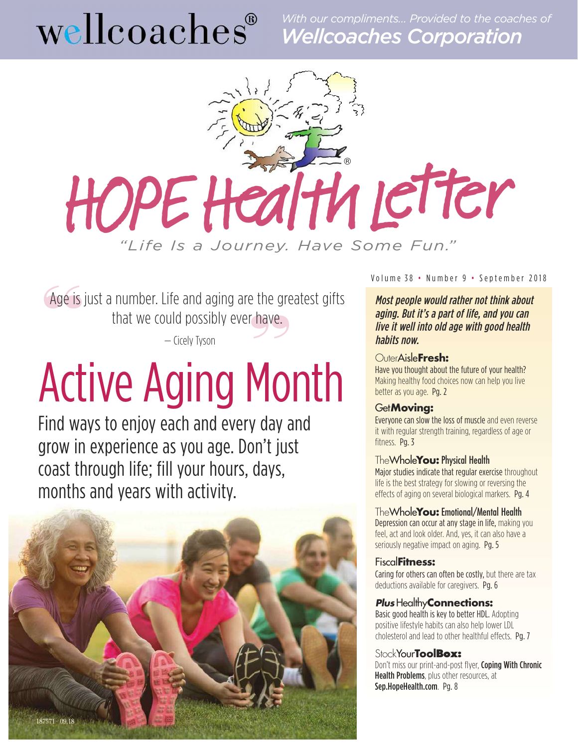*With our compliments… Provided to the coaches of* Wellcoaches Corporation



the growth<br> **"**<br>  $\frac{1}{2}$ Age is Age is just a number. Life and aging are the greatest gifts that we could possibly ever have.

— Cicely Tyson

# Active Aging Month

Find ways to enjoy each and every day and grow in experience as you age. Don't just coast through life; fill your hours, days, months and years with activity.



Volume 38 • Number 9 • September 2018

Most people would rather not think about aging. But it's <sup>a</sup> part of life, and you can live it well into old age with good health habits now.

#### OuterAisle**[Fresh:](#page-1-0)**

Have you thought about the future of your health? Making healthy food choices now can help you live better as you age. Pg. 2

#### Get**[Moving:](#page-2-0)**

Everyone can slow the loss of muscle and even reverse it with regular strength training, regardless of age or fitness. Pg. 3

#### TheWhole**You:**Physical Health

Major studies indicate that regular exercise [throughout](#page--1-0) life is the best strategy for slowing or reversing the effects of aging on several biological markers. Pg. 4

#### TheWhole**You:**[Emotional/Mental](#page-4-0) Health

Depression can occur at any stage in life, making you feel, act and look older. And, yes, it can also have a seriously negative impact on aging. Pg. 5

#### Fiscal**[Fitness:](#page-5-0)**

Caring for others can often be costly, but there are tax deductions available for caregivers. Pg. 6

#### *Plus*Healthy**[Connections:](#page-6-0)**

Basic good health is key to better HDL. Adopting positive lifestyle habits can also help lower LDL cholesterol and lead to other healthful effects. Pg. 7

#### StockYour**ToolBox:**

Don't miss our print-and-post flyer, Coping With Chronic Health Problems, plus other resources, at [Sep.HopeHealth.com](http://Sep.HopeHealth.com). Pg. 8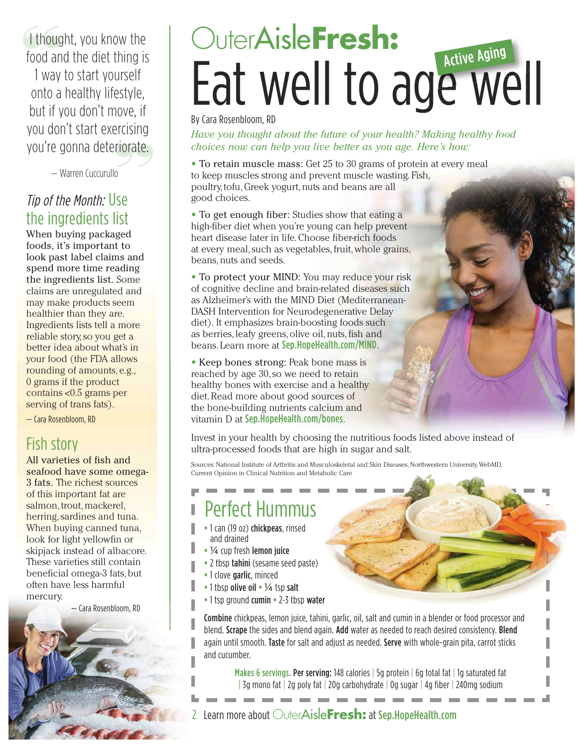<span id="page-1-0"></span>**"** I thought, you know the food and the diet thing is

**"**you're gonna deteriorate. 1 way to start yourself onto a healthy lifestyle, but if you don't move, if you don't start exercising

— Warren Cuccurullo

#### Tip of the Month: Use the ingredients list

When buying packaged foods, it's important to look past label claims and spend more time reading the ingredients list. Some claims are unregulated and may make products seem healthier than they are. Ingredients lists tell a more reliable story,so you get a better idea about what's in your food (the FDA allows rounding of amounts, e.g., 0 grams if the product contains <0.5 grams per serving of trans fats).

— Cara Rosenbloom, RD

#### Fish story

All varieties of fish and seafood have some omega-3 fats. The richest sources of this important fat are salmon, trout, mackerel, herring, sardines and tuna. When buying canned tuna, look for light yellowfin or skipjack instead of albacore. These varieties still contain beneficial omega-3 fats,but often have less harmful mercury.

— Cara Rosenbloom, RD

### OuterAisle**Fresh:** Eat well to age well Active Aging

By Cara Rosenbloom, RD

*Have you thought about the future of your health? Making healthy food choices now can help you live better as you age. Here's how:*

• To retain muscle mass: Get 25 to 30 grams of protein at every meal to keep muscles strong and prevent muscle wasting. Fish, poultry,tofu,Greek yogurt,nuts and beans are all good choices.

• To get enough fiber: Studies show that eating a high-fiber diet when you're young can help prevent heart disease later in life.Choose fiber-rich foods at every meal,such as vegetables,fruit,whole grains, beans, nuts and seeds.

• To protect your MIND: You may reduce your risk of cognitive decline and brain-related diseases such as Alzheimer's with the MIND Diet (Mediterranean-DASH Intervention for Neurodegenerative Delay diet). It emphasizes brain-boosting foods such as berries, leafy greens, olive oil, nuts, fish and beans. Learn more at [Sep.HopeHealth.com/MIND](http://Sep.HopeHealth.com/mind).

• Keep bones strong: Peak bone mass is reached by age 30,so we need to retain healthy bones with exercise and a healthy diet.Read more about good sources of the bone-building nutrients calcium and vitamin D at [Sep.HopeHealth.com/bones](http://Sep.HopeHealth.com/bones).

Invest in your health by choosing the nutritious foods listed above instead of ultra-processed foods that are high in sugar and salt.

Sources: National Institute of Arthritis and [Musculoskeletal](https://www.bones.nih.gov/health-info/bone/osteoporosis/bone-mass) and Skin Diseases[,Northwestern](https://www.northwestern.edu/newscenter/stories/2011/03/fiber-heart-disease.html) University, [WebMD,](https://www.webmd.com/alzheimers/features/mind-diet-alzheimers-disease#1) Current Opinion in Clinical Nutrition and [Metabolic](https://www.ncbi.nlm.nih.gov/pmc/articles/PMC2760315/) Care

### Perfect Hummus

- **•** 1 can (19 oz) chickpeas, rinsed and drained
- **•** ¼ cup fresh lemon juice
- 2 tbsp tahini (sesame seed paste)
- **•** 1 clove garlic, minced
- **•** 1 tbsp olive oil **•** ¼ tsp salt
- **•** 1 tsp ground cumin **•** 2-3 tbsp water

Combine chickpeas, lemon juice, tahini, garlic, oil, salt and cumin in a blender or food processor and blend. Scrape the sides and blend again. Add water as needed to reach desired consistency. Blend again until smooth. Taste for salt and adjust as needed. Serve with whole-grain pita, carrot sticks and cucumber.

Makes 6 servings. Per serving: 148 calories | 5g protein | 6g total fat | 1g saturated fat | 3g mono fat | 2g poly fat | 20g carbohydrate | 0g sugar | 4g fiber | 240mg sodium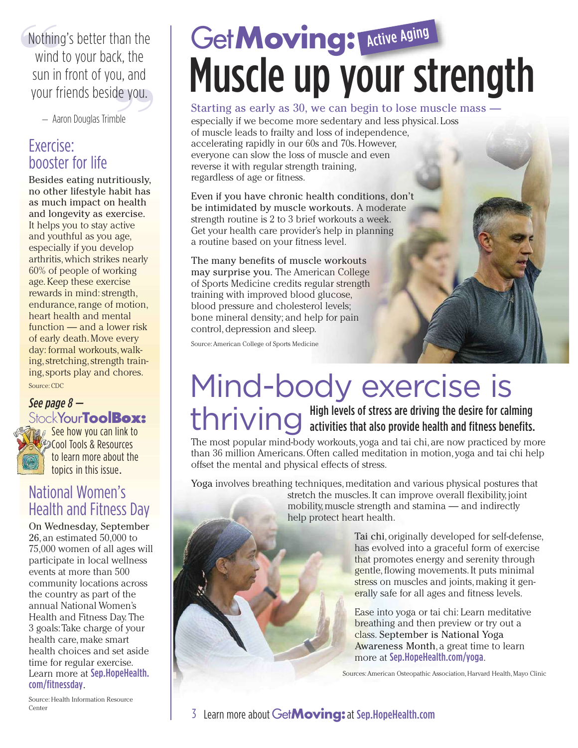<span id="page-2-0"></span>ou, ariu<br>de you.<br><sup>nble</sup> **Wothin**<br>wind Nothing's better than the wind to your back, the sun in front of you, and your friends beside you.

— Aaron Douglas Trimble

#### Exercise: booster for life

Besides eating nutritiously, no other lifestyle habit has as much impact on health and longevity as exercise. It helps you to stay active and youthful as you age, especially if you develop arthritis,which strikes nearly 60% of people of working age.Keep these exercise rewards in mind: strength, endurance, range of motion, heart health and mental function — and a lower risk of early death.Move every day: formal workouts,walking, stretching, strength train[ing,sport](https://www.cdc.gov/vitalsigns/arthritis/index.html)s play and chores. Source: CDC

#### See page 8 — StockYour**Tool[Box:](http://Sep.HopeHealth.com)**



See how you can link to **Cool Tools & Resources** to learn more about the topics in this issue.

#### [National](http://Sep.HopeHealth.com) Women's Health and Fitness Day

On Wednesday, September 26, an estimated 50,000 to 75,000 women of all ages will participate in local wellness events at more than 500 community locations across the country as part of the annual National Women's Health and Fitness Day. The 3 goals:Take charge of your health care, make smart health choices and set aside time for regular exercise. Learn more at [Sep.HopeHealth.](http://Sep.HopeHealth.com/fitnessday) [com/fitnessday](http://Sep.HopeHealth.com/fitnessday).

## Get**Moving: Active Aging** Muscle up your strength

#### Starting as early as 30, we can begin to lose muscle mass —

especially if we become more sedentary and less physical. Loss of muscle leads to frailty and loss of independence, accelerating rapidly in our 60s and 70s.However, everyone can slow the loss of muscle and even reverse it with regular strength training, regardless of age or fitness.

Even if you have chronic health conditions, don't be intimidated by muscle workouts. A moderate strength routine is 2 to 3 brief workouts a week. Get your health care provider's help in planning a routine based on your fitness level.

The many benefits of muscle workouts may surprise you. The American College of Sports Medicine credits regular strength training with improved blood glucose, blood pressure and cholesterol levels; bone mineral density; and help for pain control, depression and sleep.

[Source:American](https://journals.lww.com/acsm-healthfitness/Fulltext/2009/07000/ACSM_STRENGTH_TRAINING_GUIDELINES__Role_in_Body.7.aspx) College of Sports Medicine

# Mind-body exercise is

thriving the desire for calming<br>thrivities that also provide health and fitness benefits activities that also provide health and fitness benefits.

The most popular mind-body workouts, yoga and tai chi, are now practiced by more than 36 million Americans.Often called meditation in motion, yoga and tai chi help offset the mental and physical effects of stress.

Yoga involves breathing techniques, meditation and various physical postures that stretch the muscles.It can improve overall flexibility, joint mobility,muscle strength and stamina — and indirectly help protect heart health.

> Tai chi,originally developed for self-defense, has evolved into a graceful form of exercise that promotes energy and serenity through gentle,flowing movements.It puts minimal stress on muscles and joints, making it generally safe for all ages and fitness levels.

Ease into yoga or tai chi: Learn meditative breathing and then preview or try out a class. September is National Yoga Awareness Month, a great time to learn more at [Sep.HopeHealth.com/yoga](http://Sep.HopeHealth.com/yoga).

Sources: American Osteopathic [Association,](https://osteopathic.org/benefits-of-yoga/) [Harvard](https://www.health.harvard.edu/blog/new-survey-reveals-the-rapid-rise-of-yoga-and-why-some-people-still-havent-tried-it-201603079179) Health, Mayo [Clinic](https://www.mayoclinic.org/healthy-lifestyle/fitness/in-depth/yoga-3-easy-ways-to-get-started/art-20269955?reDate=11072018)

[Source:](http://www.fitnessday.com/women/) Health Information Resource Center

#### 3 Learn more about Get**Moving:**at [Sep.HopeHealth.com](http://Sep.HopeHealth.com)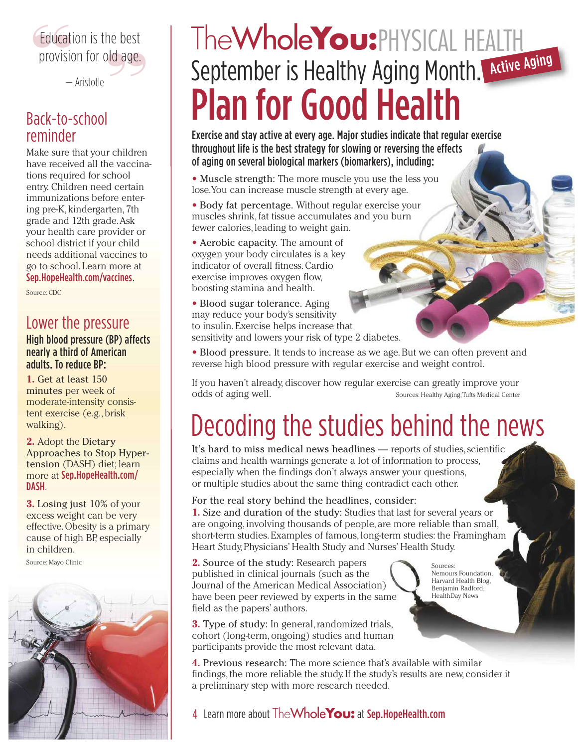### le pest<br> **d** age. **Education is the best<br>
provision for old age.** Education is the best

— Aristotle

#### Back-to-school reminder

Make sure that your children have received all the vaccinations required for school entry. Children need certain immunizations before entering pre-K, kindergarten, 7th grade and 12th grade.Ask your health care provider or school district if your child needs additional vaccines to go to school. Learn more at [Sep.HopeHealth.com/vaccines](http://Sep.HopeHealth.com/vaccines).

Source: CDC

#### Lower the pressure

#### High blood pressure (BP) affects nearly a third of American adults. To reduce BP:

**1.** Get at least 150 minutes per week of moderate-intensity consistent exercise (e.g.,brisk walking).

**2.** Adopt the Dietary Approaches to Stop Hypertension (DASH) diet; learn more at [Sep.HopeHealth.com/](http://Sep.HopeHealth.com/dash) [DASH](http://Sep.HopeHealth.com/dash).

**3.** Losing just 10% of your excess weight can be very effective.Obesity is a primary cause of high BP, especially in [children.](https://www.mayoclinic.org/diseases-conditions/high-blood-pressure/in-depth/high-blood-pressure/art-20046974)

Source: Mayo Clinic



### TheWhole**You:**PHYSICAL HEALTH September is Healthy Aging Month. Active Aging **Plan for Good Health**

Exercise and stay active at every age. Major studies indicate that regular exercise throughout life is the best strategy for slowing or reversing the effects of aging on several biological markers (biomarkers), including:

• Muscle strength: The more muscle you use the less you lose.You can increase muscle strength at every age.

• Body fat percentage. Without regular exercise your muscles shrink, fat tissue accumulates and you burn fewer calories, leading to weight gain.

• Aerobic capacity. The amount of oxygen your body circulates is a key indicator of overall fitness.Cardio exercise improves oxygen flow, boosting stamina and health.

• Blood sugar tolerance. Aging may reduce your body's sensitivity to insulin.Exercise helps increase that sensitivity and lowers your risk of type 2 diabetes.

• Blood pressure. It tends to increase as we age.But we can often prevent and reverse high blood pressure with regular exercise and weight control.

If you haven't already, discover how regular exercise can greatly improve your odds of aging well. Sources: [Healthy](https://healthyaging.net/healthy-aging-month/september-is-healthy-aging-month/) Aging,Tufts [Medical](https://www.bostonmagazine.com/sponsor-content/guidelines-for-good-health-in-your-30s-40s-50s-and-60s/) Center

### Decoding the studies behind the news

It's hard to miss medical news headlines — reports of studies, scientific claims and health warnings generate a lot of information to process, especially when the findings don't always answer your questions, or multiple studies about the same thing contradict each other.

#### For the real story behind the headlines, consider:

**1.** Size and duration of the study: Studies that last for several years or are ongoing, involving thousands of people, are more reliable than small, short-term studies.Examples of famous,long-term studies: the Framingham Heart Study,Physicians' Health Study and Nurses' Health Study.

**2.** Source of the study: Research papers published in clinical journals (such as the Journal of the American Medical Association) have been peer reviewed by experts in the same field as the papers' authors.

**3.** Type of study: In general, randomized trials, cohort (long-term,ongoing) studies and human participants provide the most relevant data.

**4.** Previous research: The more science that's available with similar findings, the more reliable the study. If the study's results are new, consider it a preliminary step with more research needed.

#### 4 Learn more about TheWhole**You:** at [Sep.HopeHealth.com](http://Sep.HopeHealth.com)

Sources: Nemours [Foundation,](http://kidshealth.org/en/parents/medical-news.html) [Harvard](https://www.health.harvard.edu/blog/medical-news-a-case-for-skepticism-201604229481/print/) Health Blog, [Benjamin](https://www.seeker.com/how-to-make-make-sense-of-medical-warnings-1770628236.html) Radford, [HealthDay](https://www.medicinenet.com/script/main/art.asp?articlekey=190298) News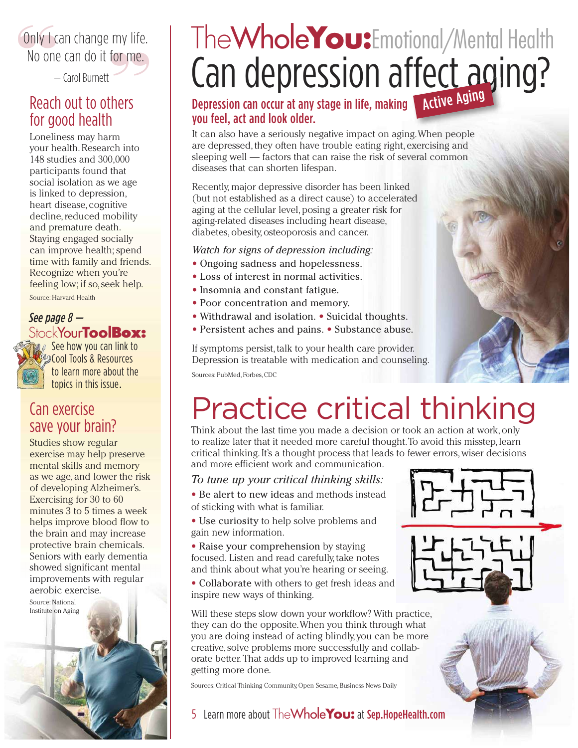#### <span id="page-4-0"></span>**or** me.<br>**" Conly 1 conde**<br>**No** one Only I can change my life. No one can do it for me.

 $-$  Carol Burnett

#### Reach out to others for good health

Loneliness may harm your health.Research into 148 studies and 300,000 participants found that social isolation as we age is linked to depression, heart disease, cognitive decline, reduced mobility and premature death. Staying engaged socially can improve health; spend time with family and friends. Recognize when you're [feeling](https://www.health.harvard.edu/?utm_source=delivra&utm_medium=email&utm_campaign=EL20180114-Exercise&utm_id=774120&dlv-ga-memberid=41459711&mid=41459711&ml=774120) low; if so,seek help. Source: Harvard Health

#### See page 8 — StockYour**Tool[Box:](http://Sep.HopeHealth.com)**

**a** a See how you can link to **Cool Tools & Resources** to learn more about the topics in this issue.

#### Can [exerci](http://Sep.HopeHealth.com)se save your brain?

Studies show regular exercise may help preserve mental skills and memory as we age, and lower the risk of developing Alzheimer's. Exercising for 30 to 60 minutes 3 to 5 times a week helps improve blood flow to the brain and may increase protective brain chemicals. Seniors with early dementia showed significant mental improvements with regular [aerobic](https://www.nia.nih.gov/health/assessing-risk-alzheimers-disease) exercise.

Source: [National](https://www.nia.nih.gov/health/assessing-risk-alzheimers-disease)



### Can depression affect aging? TheWhole**You:**Emotional/Mental Health

#### Depression can occur at any stage in life, making **Active Aging** you feel, act and look older.

It can also have a seriously negative impact on aging.When people are depressed, they often have trouble eating right, exercising and sleeping well — factors that can raise the risk of several common diseases that can shorten lifespan.

Recently, major depressive disorder has been linked (but not established as a direct cause) to accelerated aging at the cellular level,posing a greater risk for aging-related diseases including heart disease, diabetes, obesity, osteoporosis and cancer.

#### *Watch for signs of depression including:*

- Ongoing sadness and hopelessness.
- Loss of interest in normal activities.
- Insomnia and constant fatigue.
- Poor concentration and memory.
- Withdrawal and isolation. Suicidal thoughts.
- Persistent aches and pains. Substance abuse.

If symptoms persist, talk to your health care provider. Depression is treatable with medication and counseling.

Sources: [PubMed,](https://www.ncbi.nlm.nih.gov/pubmed/20376837) [Forbes,](https://www.forbes.com/sites/alicegwalton/2013/11/12/how-depression-can-speed-the-aging-process/#19544a357046) [CDC](https://www.cdc.gov/aging/mentalhealth/depression.htm)

### Practice critical thinking

Think about the last time you made a decision or took an action at work, only to realize later that it needed more careful thought. To avoid this misstep, learn critical thinking.It's a thought process that leads to fewer errors,wiser decisions and more efficient work and communication.

#### *To tune up your critical thinking skills:*

- Be alert to new ideas and methods instead of sticking with what is familiar.
- Use curiosity to help solve problems and gain new information.
- Raise your comprehension by staying focused. Listen and read carefully,take notes and think about what you're hearing or seeing.
- Collaborate with others to get fresh ideas and inspire new ways of thinking.

Will these steps slow down your workflow? With practice, they can do the opposite.When you think through what you are doing instead of acting blindly, you can be more creative,solve problems more successfully and collaborate better. That adds up to improved learning and getting more done.

Sources: Critical Thinking [Community,](http://www.criticalthinking.org/pages/critical-thinking-in-everyday-life-9-strategies/512) Open [Sesame,](https://www.opensesame.com/blog/why-critical-thinking-essential-workplace) [Business](https://www.businessnewsdaily.com/7532-critical-thinking-in-business.html) News Daily

- 
- 5 Learn more about TheWhole**You:** at [Sep.HopeHealth.com](http://Sep.HopeHealth.com)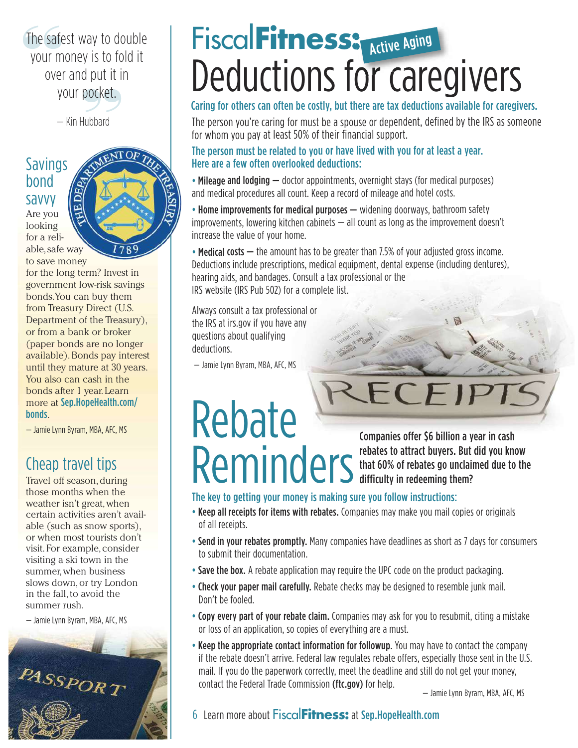<span id="page-5-0"></span>a put it i<br>**pocket.**<br><sup>Hubbard</sup> **The safe**<br>**your** m The safest way to double your money is to fold it over and put it in your pocket.

— Kin Hubbard

#### Savings bond savvy

Are you looking

for a reliable,safe way 78

to save money for the long term? Invest in government low-risk savings bonds.You can buy them from Treasury Direct (U.S. Department of the Treasury), or from a bank or broker (paper bonds are no longer available).Bonds pay interest until they mature at 30 years. You also can cash in the bonds after 1 year. Learn more at [Sep.HopeHealth.com/](http://Sep.HopeHealth.com/bonds) [bonds](http://Sep.HopeHealth.com/bonds).

— Jamie Lynn Byram, MBA, AFC, MS

#### Cheap travel tips

Travel off season, during those months when the weather isn't great,when certain activities aren't available (such as snow sports), or when most tourists don't visit. For example, consider visiting a ski town in the summer, when business slows down,or try London in the fall, to avoid the summer rush.

— Jamie Lynn Byram, MBA, AFC, MS



### Fiscal**Fitness:** Active Aging Deductions for caregivers

Caring for others can often be costly, but there are tax deductions available for caregivers.

The person you're caring for must be <sup>a</sup> spouse or dependent, defined by the IRS as someone for whom you pay at least 50% of their financial support.

#### The person must be related to you or have lived with you for at least <sup>a</sup> year. Here are a few often overlooked deductions:

• Mileage and lodging — doctor appointments, overnight stays (for medical purposes) and medical procedures all count. Keep <sup>a</sup> record of mileage and hotel costs.

• Home improvements for medical purposes — widening doorways, bathroom safety improvements, lowering kitchen cabinets — all count as long as the improvement doesn't increase the value of your home.

• Medical costs — the amount has to be greater than 7.5% of your adjusted gross income. Deductions include prescriptions, medical equipment, dental expense (including dentures), hearing aids, and bandages. Consult <sup>a</sup> tax professional or the IRS website (IRS Pub 502) for <sup>a</sup> complete list.

Always consult <sup>a</sup> tax professional or the IRS at [irs.gov](https://irs.gov) if you have any questions about qualifying deductions.

— Jamie Lynn Byram, MBA, AFC, MS

# Rebate Remptines oner yournamical year in clash

Companies offer \$6 billion a year in cash that 60% of rebates go unclaimed due to the difficulty in redeeming them?

#### The key to getting your money is making sure you follow instructions:

- Keep all receipts for items with rebates. Companies may make you mail copies or originals of all receipts.
- Send in your rebates promptly. Many companies have deadlines as short as 7 days for consumers to submit their documentation.
- Save the box. A rebate application may require the UPC code on the product packaging.
- Check your paper mail carefully. Rebate checks may be designed to resemble junk mail. Don't be fooled.
- Copy every part of your rebate claim. Companies may ask for you to resubmit, citing a mistake or loss of an application, so copies of everything are a must.
- Keep the appropriate contact information for followup. You may have to contact the company if the rebate doesn't arrive. Federal law regulates rebate offers, especially those sent in the U.S. mail. If you do the paperwork correctly, meet the deadline and still do not get your money, contact the Federal Trade Commission [\(ftc.gov\)](https://ftc.gov) for help.  $-$  Jamie Lynn Byram, MBA, AFC, MS

6 Learn more about Fiscal**Fitness:** at [Sep.HopeHealth.com](http://Sep.HopeHealth.com)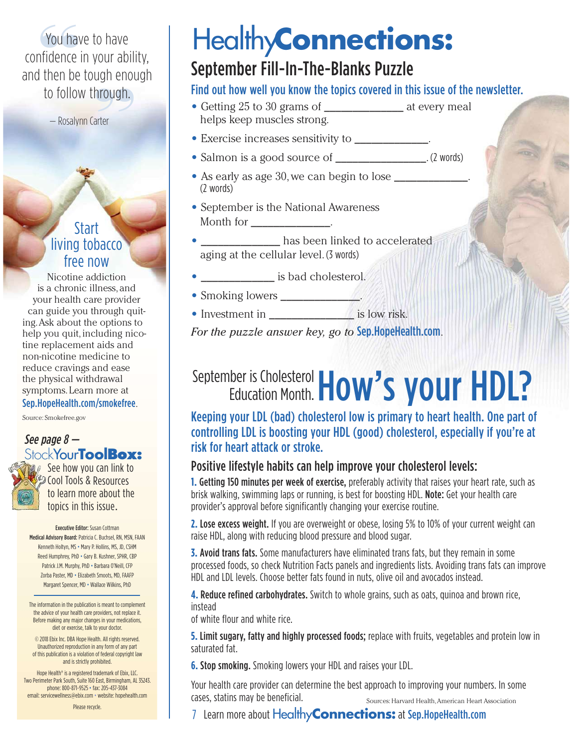<span id="page-6-0"></span>ugn enoi<br>hrough.<br><sup>arter</sup> **"**You have to have confidence in your ability, and then be tough enough to follow through.

— Rosalynn Carter

#### **Start** living tobacco free now

Nicotine addiction is a chronic illness, and your health care provider can guide you through quiting.Ask about the options to help you quit,including nicotine replacement aids and non-nicotine medicine to reduce cravings and ease the physical withdrawal symptoms. Learn more at [Sep.HopeHealth.com/smokefree](http://Sep.HopeHealth.com/smokefree).

Source: [Smokefree.gov](https://smokefree.gov/)

#### See page 8 — [Stock](http://Sep.HopeHealth.com)Your**Tool[Box:](http://Sep.HopeHealth.com)**



See how you can link to Cool Tools & Resources to learn more about the topics in this issue.

Executive Editor: Susan Cottman Medical Advisory Board: Patricia C. Buchsel, RN, MSN, FAAN Kenneth Holtyn, MS • Mary P. Hollins, MS, JD, CSHM Reed Humphrey, PhD · Gary B. Kushner, SPHR, CBP Patrick J.M. Murphy, PhD • Barbara O'Neill, CFP Zorba Paster, MD • Elizabeth Smoots, MD, FAAFP Margaret Spencer, MD • Wallace Wilkins, PhD

The information in the publication is meant to complement the advice of your health care providers, not replace it. Before making any major changes in your medications, diet or exercise, talk to your doctor.

© 2018 Ebix Inc. DBA Hope Health. All rights reserved. Unauthorized reproduction in any form of any part of this publication is a violation of federal copyright law and is strictly prohibited.

Hope Health® is a registered trademark of Ebix, LLC. Two Perimeter Park South, Suite 160 East, Birmingham, AL 35243. phone: 800-871-9525 • fax: 205-437-3084 email: [servicewellness@ebix.com](mailto:servicewellness@ebix.com) • website: [hopehealth.com](https://hopehealth.com)

Please recycle.

### Healthy**Connections:**

#### September Fill-In-The-Blanks Puzzle

#### Find out how well you know the topics covered in this issue of the newsletter.

- **•** Getting 25 to 30 grams of \_\_\_\_\_\_\_\_\_\_\_\_\_\_ at every meal helps keep muscles strong.
- **•** Exercise increases sensitivity to \_\_\_\_\_\_\_\_\_\_\_\_\_.
- **•** Salmon is a good source of \_\_\_\_\_\_\_\_\_\_\_\_\_\_\_\_. (2 words)
- As early as age 30, we can begin to lose (2 words)
- **•** September is the National Awareness Month for  $\blacksquare$
- has been linked to accelerated aging at the cellular level. (3 words)
- **•** is bad cholesterol.
- Smoking lowers \_\_\_\_\_\_\_\_\_\_\_\_\_
- **•** Investment in \_\_\_\_\_\_\_\_\_\_\_\_\_\_\_ is low risk.

*For the puzzle answer key, go to* [Sep.HopeHealth.com](http://Sep.HopeHealth.com).

#### September is Cholesterol How's your HDL? Education Month.

Keeping your LDL (bad) cholesterol low is primary to heart health. One part of controlling LDL is boosting your HDL (good) cholesterol, especially if you're at risk for heart attack or stroke.

#### Positive lifestyle habits can help improve your cholesterol levels:

**1. Getting 150 minutes per week of exercise,** preferably activity that raises your heart rate, such as brisk walking, swimming laps or running, is best for boosting HDL. Note: Get your health care provider's approval before significantly changing your exercise routine.

**2.** Lose excess weight. If you are overweight or obese, losing 5% to 10% of your current weight can raise HDL, along with reducing blood pressure and blood sugar.

**3.** Avoid trans fats. Some manufacturers have eliminated trans fats, but they remain in some processed foods, so check Nutrition Facts panels and ingredients lists. Avoiding trans fats can improve HDL and LDL levels. Choose better fats found in nuts, olive oil and avocados instead.

**4.** Reduce refined carbohydrates. Switch to whole grains, such as oats, quinoa and brown rice, instead

of white flour and white rice.

**5.** Limit sugary, fatty and highly processed foods; replace with fruits, vegetables and protein low in saturated fat.

**6.** Stop smoking. Smoking lowers your HDL and raises your LDL.

Your health care provider can determine the best approach to improving your numbers. In some Cases, statins may be beneficial. Sources: [Harvard](https://www.health.harvard.edu/newsletter_article/hdl-the-good-but-complex-cholesterol) Health, American Heart [Association](http://www.heart.org/HEARTORG/HealthyLiving/QuitSmoking/QuittingSmoking/Smoking-Do-you-really-know-the-risks_UCM_322718_Article.jsp#.W0X1kNhKjWZ)

7 Learn more about Healthy**Connections:** at [Sep.HopeHealth.com](http://Sep.HopeHealth.com)